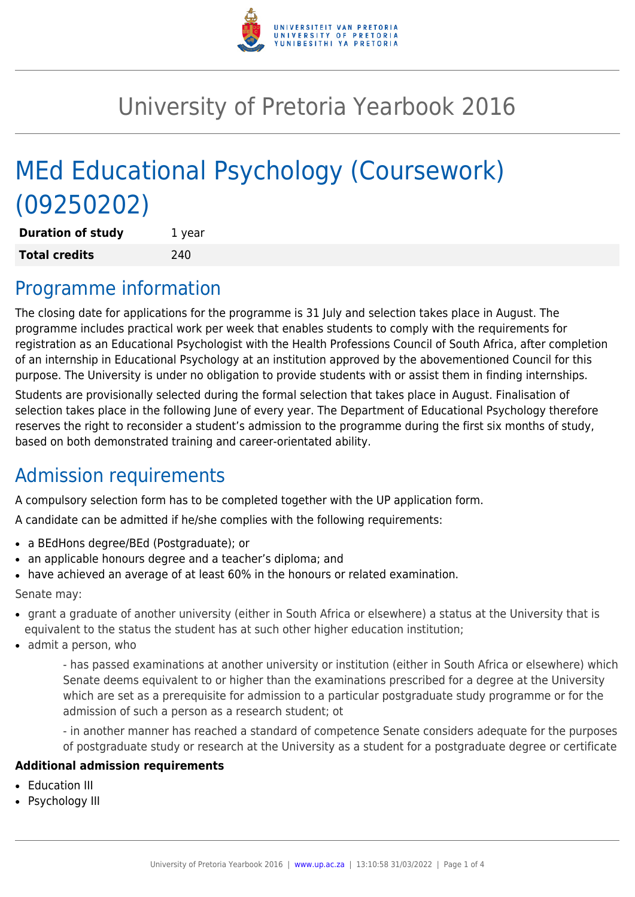

# University of Pretoria Yearbook 2016

# MEd Educational Psychology (Coursework) (09250202)

| <b>Duration of study</b> | 1 year |
|--------------------------|--------|
| <b>Total credits</b>     | 240    |

## Programme information

The closing date for applications for the programme is 31 July and selection takes place in August. The programme includes practical work per week that enables students to comply with the requirements for registration as an Educational Psychologist with the Health Professions Council of South Africa, after completion of an internship in Educational Psychology at an institution approved by the abovementioned Council for this purpose. The University is under no obligation to provide students with or assist them in finding internships.

Students are provisionally selected during the formal selection that takes place in August. Finalisation of selection takes place in the following June of every year. The Department of Educational Psychology therefore reserves the right to reconsider a student's admission to the programme during the first six months of study, based on both demonstrated training and career-orientated ability.

## Admission requirements

A compulsory selection form has to be completed together with the UP application form.

A candidate can be admitted if he/she complies with the following requirements:

- a BEdHons degree/BEd (Postgraduate); or
- an applicable honours degree and a teacher's diploma; and
- have achieved an average of at least 60% in the honours or related examination.

Senate may:

- grant a graduate of another university (either in South Africa or elsewhere) a status at the University that is equivalent to the status the student has at such other higher education institution;
- $\bullet$  admit a person, who

- has passed examinations at another university or institution (either in South Africa or elsewhere) which Senate deems equivalent to or higher than the examinations prescribed for a degree at the University which are set as a prerequisite for admission to a particular postgraduate study programme or for the admission of such a person as a research student; ot

- in another manner has reached a standard of competence Senate considers adequate for the purposes of postgraduate study or research at the University as a student for a postgraduate degree or certificate

#### **Additional admission requirements**

- Education III
- Psychology III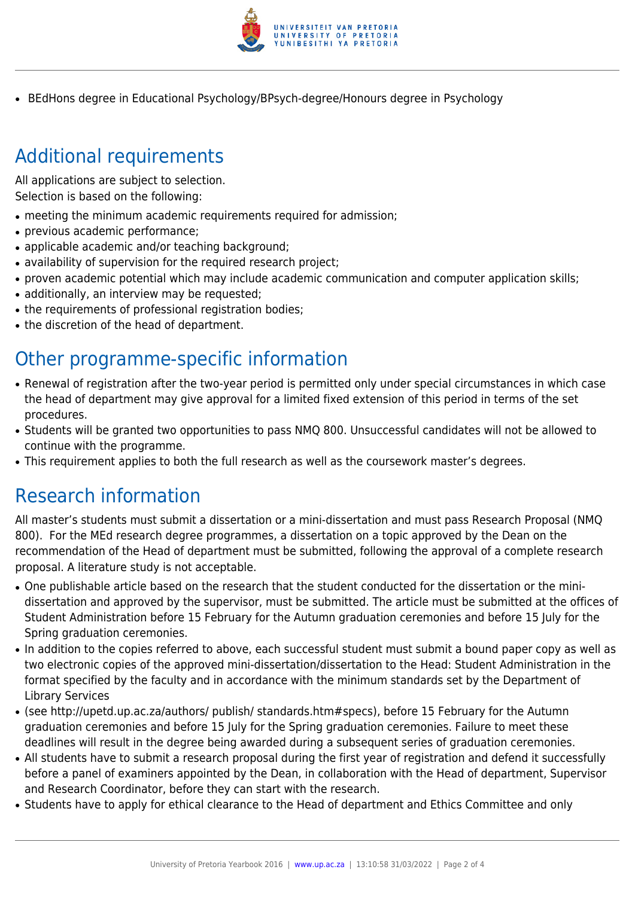

• BEdHons degree in Educational Psychology/BPsych-degree/Honours degree in Psychology

# Additional requirements

All applications are subject to selection. Selection is based on the following:

- meeting the minimum academic requirements required for admission;
- previous academic performance;
- applicable academic and/or teaching background;
- availability of supervision for the required research project;
- proven academic potential which may include academic communication and computer application skills;
- additionally, an interview may be requested;
- the requirements of professional registration bodies;
- the discretion of the head of department.

## Other programme-specific information

- Renewal of registration after the two-year period is permitted only under special circumstances in which case the head of department may give approval for a limited fixed extension of this period in terms of the set procedures.
- Students will be granted two opportunities to pass NMQ 800. Unsuccessful candidates will not be allowed to continue with the programme.
- This requirement applies to both the full research as well as the coursework master's degrees.

## Research information

All master's students must submit a dissertation or a mini-dissertation and must pass Research Proposal (NMQ 800). For the MEd research degree programmes, a dissertation on a topic approved by the Dean on the recommendation of the Head of department must be submitted, following the approval of a complete research proposal. A literature study is not acceptable.

- One publishable article based on the research that the student conducted for the dissertation or the minidissertation and approved by the supervisor, must be submitted. The article must be submitted at the offices of Student Administration before 15 February for the Autumn graduation ceremonies and before 15 July for the Spring graduation ceremonies.
- In addition to the copies referred to above, each successful student must submit a bound paper copy as well as two electronic copies of the approved mini-dissertation/dissertation to the Head: Student Administration in the format specified by the faculty and in accordance with the minimum standards set by the Department of Library Services
- (see http://upetd.up.ac.za/authors/ publish/ standards.htm#specs), before 15 February for the Autumn graduation ceremonies and before 15 July for the Spring graduation ceremonies. Failure to meet these deadlines will result in the degree being awarded during a subsequent series of graduation ceremonies.
- All students have to submit a research proposal during the first year of registration and defend it successfully before a panel of examiners appointed by the Dean, in collaboration with the Head of department, Supervisor and Research Coordinator, before they can start with the research.
- Students have to apply for ethical clearance to the Head of department and Ethics Committee and only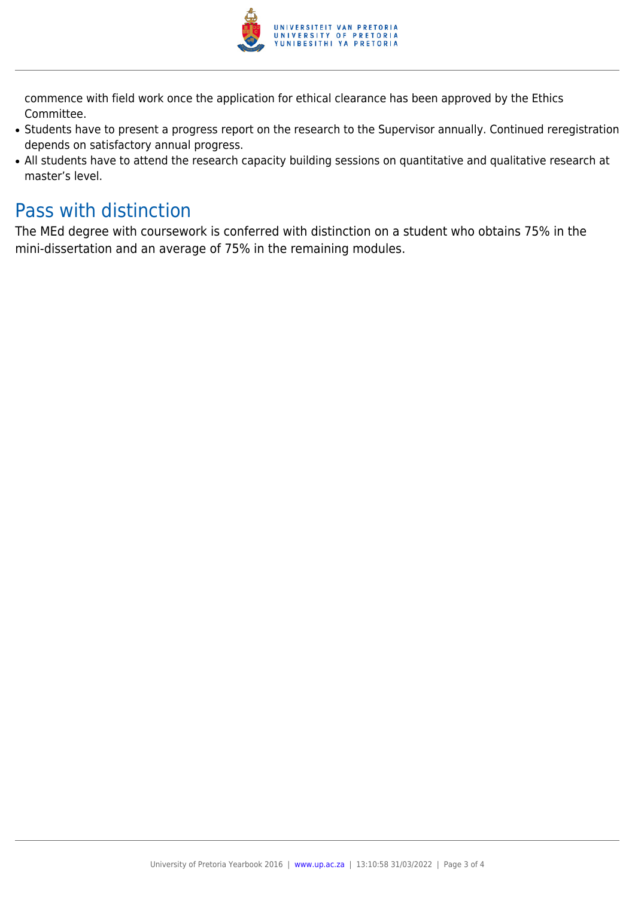

commence with field work once the application for ethical clearance has been approved by the Ethics Committee.

- Students have to present a progress report on the research to the Supervisor annually. Continued reregistration depends on satisfactory annual progress.
- All students have to attend the research capacity building sessions on quantitative and qualitative research at master's level.

#### Pass with distinction

The MEd degree with coursework is conferred with distinction on a student who obtains 75% in the mini-dissertation and an average of 75% in the remaining modules.